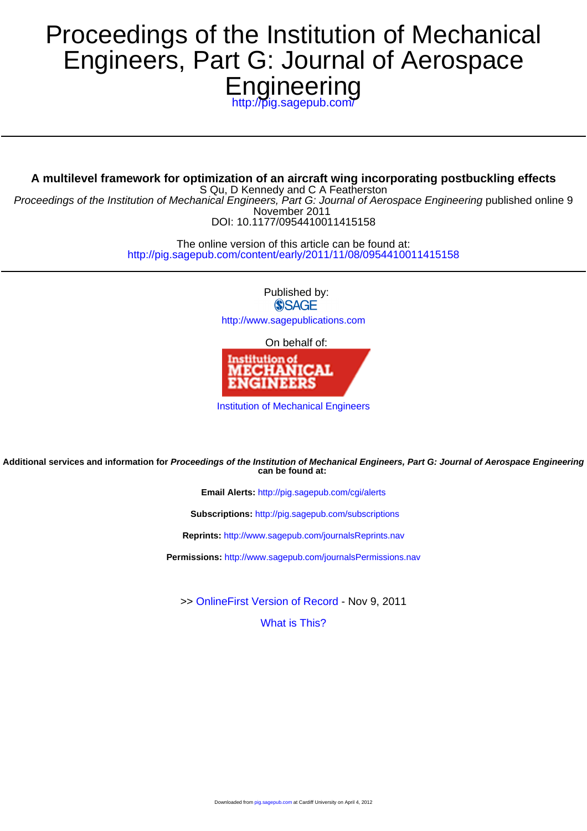# **Engineering** Engineers, Part G: Journal of Aerospace Proceedings of the Institution of Mechanical

<http://pig.sagepub.com/>

**A multilevel framework for optimization of an aircraft wing incorporating postbuckling effects**

DOI: 10.1177/0954410011415158 November 2011 Proceedings of the Institution of Mechanical Engineers, Part G: Journal of Aerospace Engineering published online 9 S Qu, D Kennedy and C A Featherston

> <http://pig.sagepub.com/content/early/2011/11/08/0954410011415158> The online version of this article can be found at:

> > Published by: **SSAGE**

<http://www.sagepublications.com>

On behalf of:



[Institution of Mechanical Engineers](http://www.imeche.org/home)

**can be found at: Additional services and information for Proceedings of the Institution of Mechanical Engineers, Part G: Journal of Aerospace Engineering**

**Email Alerts:** <http://pig.sagepub.com/cgi/alerts>

**Subscriptions:** <http://pig.sagepub.com/subscriptions>

**Reprints:** <http://www.sagepub.com/journalsReprints.nav>

**Permissions:** <http://www.sagepub.com/journalsPermissions.nav>

>> [OnlineFirst Version of Record -](http://pig.sagepub.com/content/early/2011/11/08/0954410011415158.full.pdf) Nov 9, 2011

[What is This?](http://online.sagepub.com/site/sphelp/vorhelp.xhtml)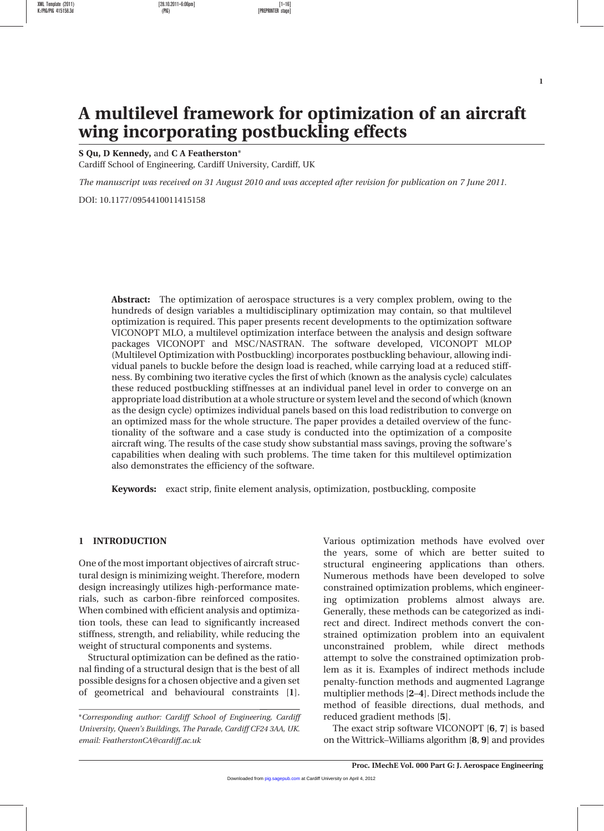# A multilevel framework for optimization of an aircraft wing incorporating postbuckling effects

S Qu, D Kennedy, and C A Featherston\* Cardiff School of Engineering, Cardiff University, Cardiff, UK

The manuscript was received on 31 August 2010 and was accepted after revision for publication on 7 June 2011.

DOI: 10.1177/0954410011415158

Abstract: The optimization of aerospace structures is a very complex problem, owing to the hundreds of design variables a multidisciplinary optimization may contain, so that multilevel optimization is required. This paper presents recent developments to the optimization software VICONOPT MLO, a multilevel optimization interface between the analysis and design software packages VICONOPT and MSC/NASTRAN. The software developed, VICONOPT MLOP (Multilevel Optimization with Postbuckling) incorporates postbuckling behaviour, allowing individual panels to buckle before the design load is reached, while carrying load at a reduced stiffness. By combining two iterative cycles the first of which (known as the analysis cycle) calculates these reduced postbuckling stiffnesses at an individual panel level in order to converge on an appropriate load distribution at a whole structure or system level and the second of which (known as the design cycle) optimizes individual panels based on this load redistribution to converge on an optimized mass for the whole structure. The paper provides a detailed overview of the functionality of the software and a case study is conducted into the optimization of a composite aircraft wing. The results of the case study show substantial mass savings, proving the software's capabilities when dealing with such problems. The time taken for this multilevel optimization also demonstrates the efficiency of the software.

Keywords: exact strip, finite element analysis, optimization, postbuckling, composite

# 1 INTRODUCTION

One of the most important objectives of aircraft structural design is minimizing weight. Therefore, modern design increasingly utilizes high-performance materials, such as carbon-fibre reinforced composites. When combined with efficient analysis and optimization tools, these can lead to significantly increased stiffness, strength, and reliability, while reducing the weight of structural components and systems.

Structural optimization can be defined as the rational finding of a structural design that is the best of all possible designs for a chosen objective and a given set of geometrical and behavioural constraints [1].

\*Corresponding author: Cardiff School of Engineering, Cardiff University, Queen's Buildings, The Parade, Cardiff CF24 3AA, UK. email: FeatherstonCA@cardiff.ac.uk

Various optimization methods have evolved over the years, some of which are better suited to structural engineering applications than others. Numerous methods have been developed to solve constrained optimization problems, which engineering optimization problems almost always are. Generally, these methods can be categorized as indirect and direct. Indirect methods convert the constrained optimization problem into an equivalent unconstrained problem, while direct methods attempt to solve the constrained optimization problem as it is. Examples of indirect methods include penalty-function methods and augmented Lagrange multiplier methods [2–4]. Direct methods include the method of feasible directions, dual methods, and reduced gradient methods [5].

The exact strip software VICONOPT [6, 7] is based on the Wittrick–Williams algorithm [8, 9] and provides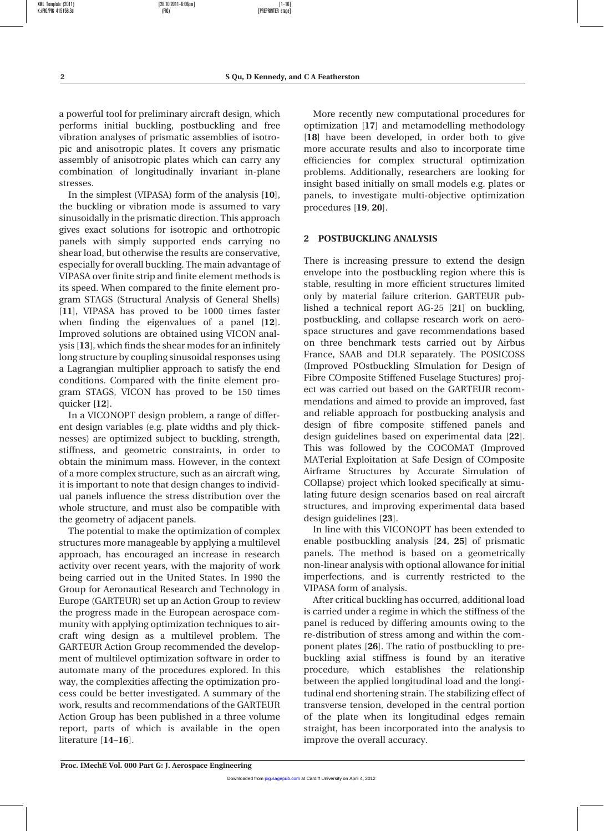a powerful tool for preliminary aircraft design, which performs initial buckling, postbuckling and free vibration analyses of prismatic assemblies of isotropic and anisotropic plates. It covers any prismatic assembly of anisotropic plates which can carry any combination of longitudinally invariant in-plane stresses.

In the simplest (VIPASA) form of the analysis [10], the buckling or vibration mode is assumed to vary sinusoidally in the prismatic direction. This approach gives exact solutions for isotropic and orthotropic panels with simply supported ends carrying no shear load, but otherwise the results are conservative, especially for overall buckling. The main advantage of VIPASA over finite strip and finite element methods is its speed. When compared to the finite element program STAGS (Structural Analysis of General Shells) [11], VIPASA has proved to be 1000 times faster when finding the eigenvalues of a panel [12]. Improved solutions are obtained using VICON analysis [13], which finds the shear modes for an infinitely long structure by coupling sinusoidal responses using a Lagrangian multiplier approach to satisfy the end conditions. Compared with the finite element program STAGS, VICON has proved to be 150 times quicker [12].

In a VICONOPT design problem, a range of different design variables (e.g. plate widths and ply thicknesses) are optimized subject to buckling, strength, stiffness, and geometric constraints, in order to obtain the minimum mass. However, in the context of a more complex structure, such as an aircraft wing, it is important to note that design changes to individual panels influence the stress distribution over the whole structure, and must also be compatible with the geometry of adjacent panels.

The potential to make the optimization of complex structures more manageable by applying a multilevel approach, has encouraged an increase in research activity over recent years, with the majority of work being carried out in the United States. In 1990 the Group for Aeronautical Research and Technology in Europe (GARTEUR) set up an Action Group to review the progress made in the European aerospace community with applying optimization techniques to aircraft wing design as a multilevel problem. The GARTEUR Action Group recommended the development of multilevel optimization software in order to automate many of the procedures explored. In this way, the complexities affecting the optimization process could be better investigated. A summary of the work, results and recommendations of the GARTEUR Action Group has been published in a three volume report, parts of which is available in the open literature [14–16].

More recently new computational procedures for optimization [17] and metamodelling methodology [18] have been developed, in order both to give more accurate results and also to incorporate time efficiencies for complex structural optimization problems. Additionally, researchers are looking for insight based initially on small models e.g. plates or panels, to investigate multi-objective optimization procedures [19, 20].

# 2 POSTBUCKLING ANALYSIS

There is increasing pressure to extend the design envelope into the postbuckling region where this is stable, resulting in more efficient structures limited only by material failure criterion. GARTEUR published a technical report AG-25 [21] on buckling, postbuckling, and collapse research work on aerospace structures and gave recommendations based on three benchmark tests carried out by Airbus France, SAAB and DLR separately. The POSICOSS (Improved POstbuckling SImulation for Design of Fibre COmposite Stiffened Fuselage Stuctures) project was carried out based on the GARTEUR recommendations and aimed to provide an improved, fast and reliable approach for postbucking analysis and design of fibre composite stiffened panels and design guidelines based on experimental data [22]. This was followed by the COCOMAT (Improved MATerial Exploitation at Safe Design of COmposite Airframe Structures by Accurate Simulation of COllapse) project which looked specifically at simulating future design scenarios based on real aircraft structures, and improving experimental data based design guidelines [23].

In line with this VICONOPT has been extended to enable postbuckling analysis [24, 25] of prismatic panels. The method is based on a geometrically non-linear analysis with optional allowance for initial imperfections, and is currently restricted to the VIPASA form of analysis.

After critical buckling has occurred, additional load is carried under a regime in which the stiffness of the panel is reduced by differing amounts owing to the re-distribution of stress among and within the component plates [26]. The ratio of postbuckling to prebuckling axial stiffness is found by an iterative procedure, which establishes the relationship between the applied longitudinal load and the longitudinal end shortening strain. The stabilizing effect of transverse tension, developed in the central portion of the plate when its longitudinal edges remain straight, has been incorporated into the analysis to improve the overall accuracy.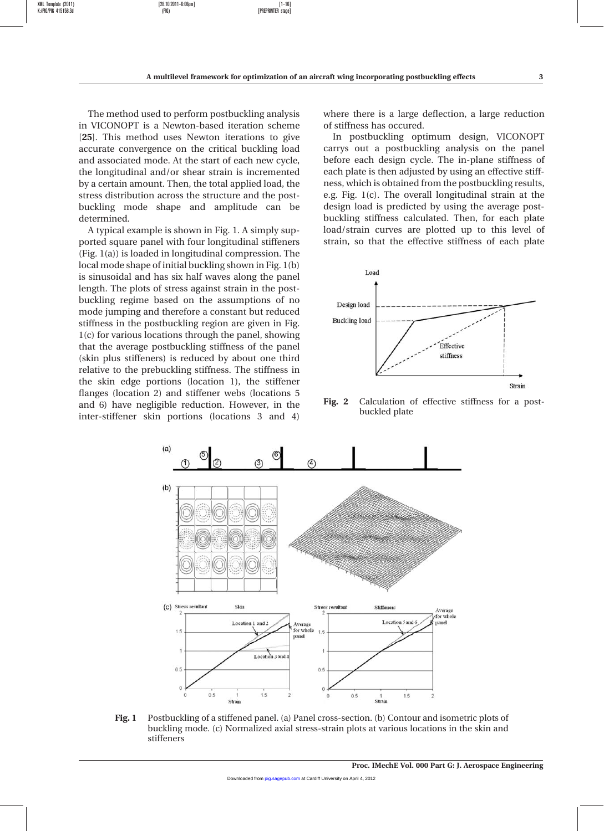The method used to perform postbuckling analysis in VICONOPT is a Newton-based iteration scheme [25]. This method uses Newton iterations to give accurate convergence on the critical buckling load and associated mode. At the start of each new cycle, the longitudinal and/or shear strain is incremented by a certain amount. Then, the total applied load, the stress distribution across the structure and the postbuckling mode shape and amplitude can be determined.

A typical example is shown in Fig. 1. A simply supported square panel with four longitudinal stiffeners (Fig. 1(a)) is loaded in longitudinal compression. The local mode shape of initial buckling shown in Fig. 1(b) is sinusoidal and has six half waves along the panel length. The plots of stress against strain in the postbuckling regime based on the assumptions of no mode jumping and therefore a constant but reduced stiffness in the postbuckling region are given in Fig. 1(c) for various locations through the panel, showing that the average postbuckling stiffness of the panel (skin plus stiffeners) is reduced by about one third relative to the prebuckling stiffness. The stiffness in the skin edge portions (location 1), the stiffener flanges (location 2) and stiffener webs (locations 5 and 6) have negligible reduction. However, in the inter-stiffener skin portions (locations 3 and 4) where there is a large deflection, a large reduction of stiffness has occured.

In postbuckling optimum design, VICONOPT carrys out a postbuckling analysis on the panel before each design cycle. The in-plane stiffness of each plate is then adjusted by using an effective stiffness, which is obtained from the postbuckling results, e.g. Fig. 1(c). The overall longitudinal strain at the design load is predicted by using the average postbuckling stiffness calculated. Then, for each plate load/strain curves are plotted up to this level of strain, so that the effective stiffness of each plate



Fig. 2 Calculation of effective stiffness for a postbuckled plate



Fig. 1 Postbuckling of a stiffened panel. (a) Panel cross-section. (b) Contour and isometric plots of buckling mode. (c) Normalized axial stress-strain plots at various locations in the skin and stiffeners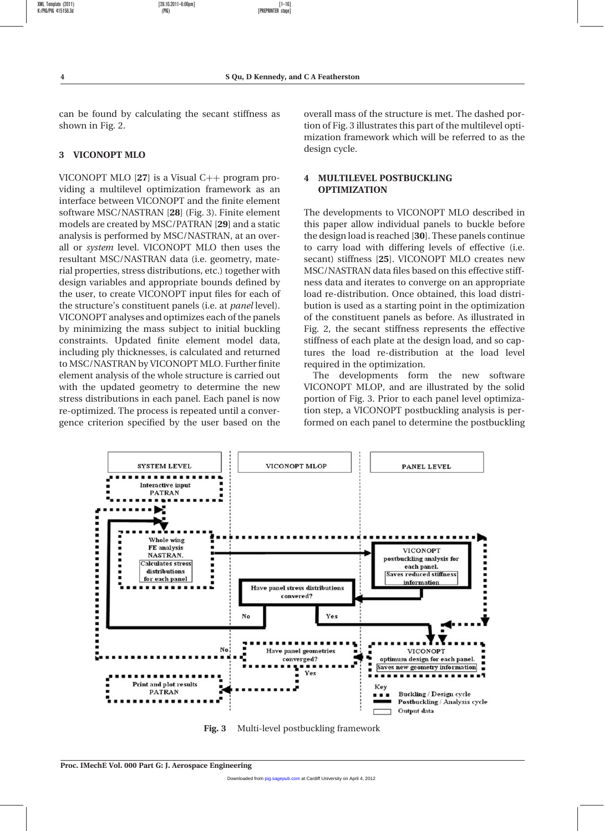can be found by calculating the secant stiffness as shown in Fig. 2.

# 3 VICONOPT MLO

VICONOPT MLO [27] is a Visual  $C_{++}$  program providing a multilevel optimization framework as an interface between VICONOPT and the finite element software MSC/NASTRAN [28] (Fig. 3). Finite element models are created by MSC/PATRAN [29] and a static analysis is performed by MSC/NASTRAN, at an overall or system level. VICONOPT MLO then uses the resultant MSC/NASTRAN data (i.e. geometry, material properties, stress distributions, etc.) together with design variables and appropriate bounds defined by the user, to create VICONOPT input files for each of the structure's constituent panels (i.e. at panel level). VICONOPT analyses and optimizes each of the panels by minimizing the mass subject to initial buckling constraints. Updated finite element model data, including ply thicknesses, is calculated and returned to MSC/NASTRAN by VICONOPT MLO. Further finite element analysis of the whole structure is carried out with the updated geometry to determine the new stress distributions in each panel. Each panel is now re-optimized. The process is repeated until a convergence criterion specified by the user based on the

overall mass of the structure is met. The dashed portion of Fig. 3 illustrates this part of the multilevel optimization framework which will be referred to as the design cycle.

## 4 MULTILEVEL POSTBUCKLING OPTIMIZATION

The developments to VICONOPT MLO described in this paper allow individual panels to buckle before the design load is reached [30]. These panels continue to carry load with differing levels of effective (i.e. secant) stiffness [25]. VICONOPT MLO creates new MSC/NASTRAN data files based on this effective stiffness data and iterates to converge on an appropriate load re-distribution. Once obtained, this load distribution is used as a starting point in the optimization of the constituent panels as before. As illustrated in Fig. 2, the secant stiffness represents the effective stiffness of each plate at the design load, and so captures the load re-distribution at the load level required in the optimization.

The developments form the new software VICONOPT MLOP, and are illustrated by the solid portion of Fig. 3. Prior to each panel level optimization step, a VICONOPT postbuckling analysis is performed on each panel to determine the postbuckling



Fig. 3 Multi-level postbuckling framework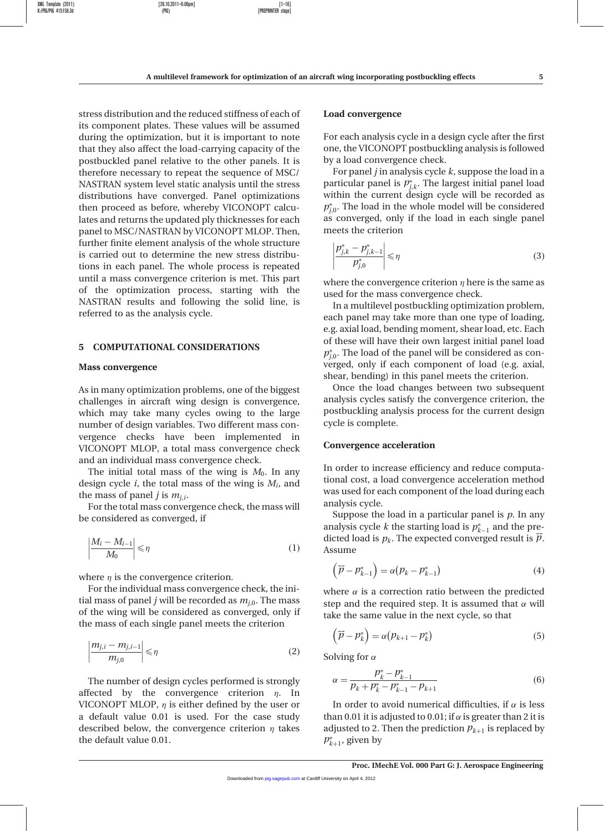stress distribution and the reduced stiffness of each of its component plates. These values will be assumed during the optimization, but it is important to note that they also affect the load-carrying capacity of the postbuckled panel relative to the other panels. It is therefore necessary to repeat the sequence of MSC/ NASTRAN system level static analysis until the stress distributions have converged. Panel optimizations then proceed as before, whereby VICONOPT calculates and returns the updated ply thicknesses for each panel to MSC/NASTRAN by VICONOPT MLOP. Then, further finite element analysis of the whole structure is carried out to determine the new stress distributions in each panel. The whole process is repeated until a mass convergence criterion is met. This part of the optimization process, starting with the NASTRAN results and following the solid line, is referred to as the analysis cycle.

#### 5 COMPUTATIONAL CONSIDERATIONS

#### Mass convergence

As in many optimization problems, one of the biggest challenges in aircraft wing design is convergence, which may take many cycles owing to the large number of design variables. Two different mass convergence checks have been implemented in VICONOPT MLOP, a total mass convergence check and an individual mass convergence check.

The initial total mass of the wing is  $M_0$ . In any design cycle  $i$ , the total mass of the wing is  $M_i$ , and the mass of panel *j* is  $m_{i,i}$ .

For the total mass convergence check, the mass will be considered as converged, if

$$
\left|\frac{M_i - M_{i-1}}{M_0}\right| \le \eta\tag{1}
$$

where  $\eta$  is the convergence criterion.

For the individual mass convergence check, the initial mass of panel *j* will be recorded as  $m_{i,0}$ . The mass of the wing will be considered as converged, only if the mass of each single panel meets the criterion

$$
\left|\frac{m_{j,i}-m_{j,i-1}}{m_{j,0}}\right| \leqslant \eta
$$
\n<sup>(2)</sup>

The number of design cycles performed is strongly affected by the convergence criterion  $\eta$ . In VICONOPT MLOP,  $\eta$  is either defined by the user or a default value 0.01 is used. For the case study described below, the convergence criterion  $\eta$  takes the default value 0.01.

#### Load convergence

For each analysis cycle in a design cycle after the first one, the VICONOPT postbuckling analysis is followed by a load convergence check.

For panel  $j$  in analysis cycle  $k$ , suppose the load in a particular panel is  $p_{j,k}^*$ . The largest initial panel load within the current design cycle will be recorded as  $p_{j,0}^*$ . The load in the whole model will be considered as converged, only if the load in each single panel meets the criterion

$$
\left| \frac{p_{j,k}^* - p_{j,k-1}^*}{p_{j,0}^*} \right| \le \eta \tag{3}
$$

where the convergence criterion  $\eta$  here is the same as used for the mass convergence check.

In a multilevel postbuckling optimization problem, each panel may take more than one type of loading, e.g. axial load, bending moment, shear load, etc. Each of these will have their own largest initial panel load  $p_{j,0}^*$ . The load of the panel will be considered as converged, only if each component of load (e.g. axial, shear, bending) in this panel meets the criterion.

Once the load changes between two subsequent analysis cycles satisfy the convergence criterion, the postbuckling analysis process for the current design cycle is complete.

#### Convergence acceleration

In order to increase efficiency and reduce computational cost, a load convergence acceleration method was used for each component of the load during each analysis cycle.

Suppose the load in a particular panel is  $p$ . In any analysis cycle *k* the starting load is  $p_{k-1}^*$  and the predicted load is  $p_k$ . The expected converged result is  $\overline{p}$ . Assume

$$
\left(\overline{p} - p_{k-1}^*\right) = \alpha \left(p_k - p_{k-1}^*\right) \tag{4}
$$

where  $\alpha$  is a correction ratio between the predicted step and the required step. It is assumed that  $\alpha$  will take the same value in the next cycle, so that

$$
\left(\overline{p} - p_k^*\right) = \alpha \left(p_{k+1} - p_k^*\right) \tag{5}
$$

Solving for  $\alpha$ 

$$
\alpha = \frac{p_k^* - p_{k-1}^*}{p_k + p_k^* - p_{k-1}^* - p_{k+1}}
$$
(6)

In order to avoid numerical difficulties, if  $\alpha$  is less than 0.01 it is adjusted to 0.01; if  $\alpha$  is greater than 2 it is adjusted to 2. Then the prediction  $p_{k+1}$  is replaced by  $p_{k+1}^*$ , given by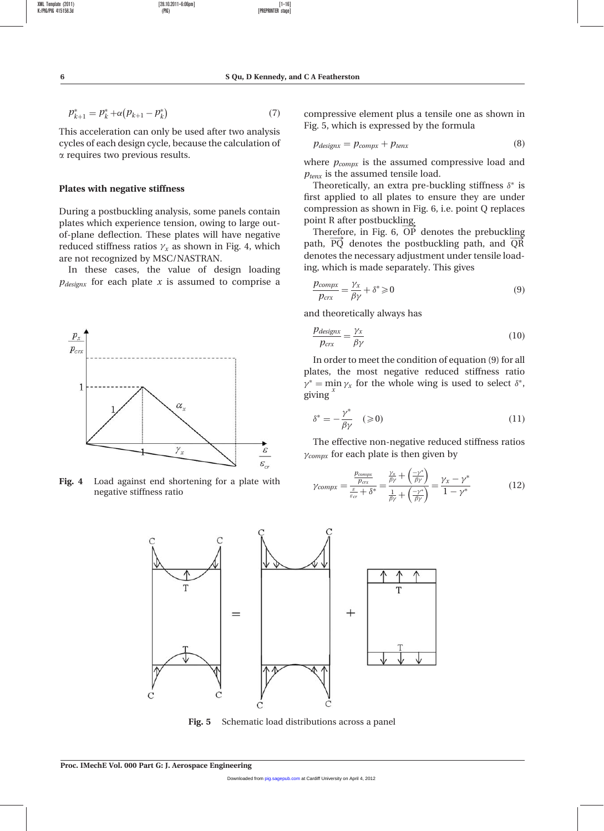$$
p_{k+1}^* = p_k^* + \alpha (p_{k+1} - p_k^*)
$$
\n(7)

This acceleration can only be used after two analysis cycles of each design cycle, because the calculation of a requires two previous results.

#### Plates with negative stiffness

During a postbuckling analysis, some panels contain plates which experience tension, owing to large outof-plane deflection. These plates will have negative reduced stiffness ratios  $\gamma_x$  as shown in Fig. 4, which are not recognized by MSC/NASTRAN.

In these cases, the value of design loading  $p_{desionx}$  for each plate x is assumed to comprise a



Fig. 4 Load against end shortening for a plate with negative stiffness ratio

compressive element plus a tensile one as shown in Fig. 5, which is expressed by the formula

$$
p_{designx} = p_{compx} + p_{tenx} \tag{8}
$$

where  $p_{compx}$  is the assumed compressive load and  $p_{tenx}$  is the assumed tensile load.

Theoretically, an extra pre-buckling stiffness  $\delta^*$  is first applied to all plates to ensure they are under compression as shown in Fig. 6, i.e. point Q replaces point R after postbuckling.

Therefore, in Fig. 6,  $\overrightarrow{OP}$  denotes the prebuckling path,  $\overrightarrow{PQ}$  denotes the postbuckling path, and  $\overrightarrow{QR}$ denotes the necessary adjustment under tensile loading, which is made separately. This gives

$$
\frac{p_{compx}}{p_{crx}} = \frac{\gamma_x}{\beta \gamma} + \delta^* \ge 0
$$
\n(9)

and theoretically always has

$$
\frac{p_{designx}}{p_{crx}} = \frac{\gamma_x}{\beta \gamma} \tag{10}
$$

In order to meet the condition of equation (9) for all plates, the most negative reduced stiffness ratio  $\gamma^* = \min \gamma_x$  for the whole wing is used to select  $\delta^*$ , giving

$$
\delta^* = -\frac{\gamma^*}{\beta \gamma} \quad (\geq 0) \tag{11}
$$

The effective non-negative reduced stiffness ratios  $\gamma_{\text{conv}}$  for each plate is then given by

$$
\gamma_{compx} = \frac{\frac{p_{compx}}{p_{crx}}}{\frac{\varepsilon}{\varepsilon_{cr}} + \delta^*} = \frac{\frac{\gamma_x}{\beta y} + \left(\frac{-\gamma^*}{\beta y}\right)}{\frac{1}{\beta y} + \left(\frac{-\gamma^*}{\beta y}\right)} = \frac{\gamma_x - \gamma^*}{1 - \gamma^*}
$$
(12)



Fig. 5 Schematic load distributions across a panel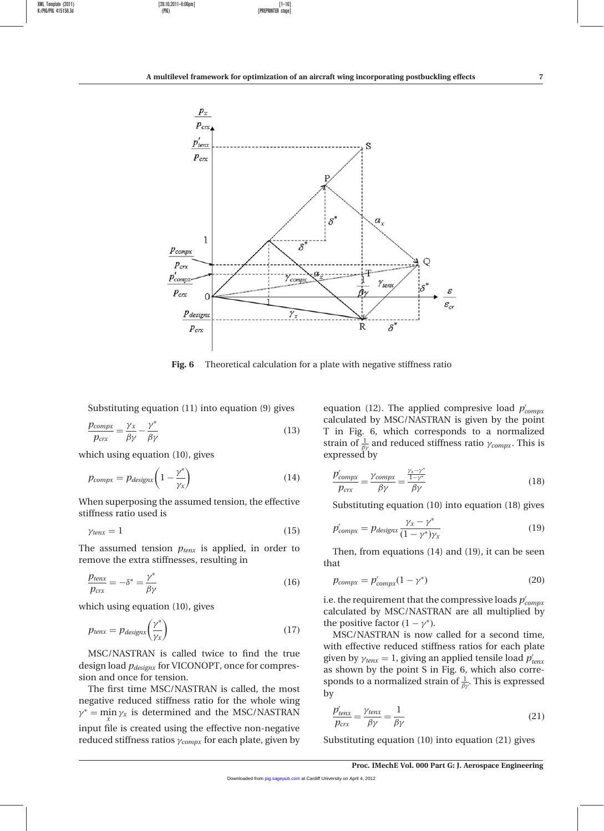

Fig. 6 Theoretical calculation for a plate with negative stiffness ratio

Substituting equation (11) into equation (9) gives

$$
\frac{p_{compx}}{p_{crx}} = \frac{\gamma_x}{\beta \gamma} - \frac{\gamma^*}{\beta \gamma}
$$
(13)

which using equation (10), gives

$$
p_{compx} = p_{designx} \left( 1 - \frac{\gamma^*}{\gamma_x} \right) \tag{14}
$$

When superposing the assumed tension, the effective stiffness ratio used is

$$
\gamma_{tenx} = 1 \tag{15}
$$

The assumed tension  $p_{tenx}$  is applied, in order to remove the extra stiffnesses, resulting in

$$
\frac{p_{tenx}}{p_{crx}} = -\delta^* = \frac{\gamma^*}{\beta \gamma}
$$
\n(16)

which using equation (10), gives

$$
p_{tenx} = p_{designx} \left(\frac{\gamma^*}{\gamma_x}\right) \tag{17}
$$

MSC/NASTRAN is called twice to find the true design load  $p_{designx}$  for VICONOPT, once for compression and once for tension.

The first time MSC/NASTRAN is called, the most negative reduced stiffness ratio for the whole wing  $\gamma^* = \min \gamma_x$  is determined and the MSC/NASTRAN input file is created using the effective non-negative reduced stiffness ratios  $\gamma_{compx}$  for each plate, given by

equation (12). The applied compresive load  $p'_{compx}$ calculated by MSC/NASTRAN is given by the point T in Fig. 6, which corresponds to a normalized strain of  $\frac{1}{\beta\gamma}$  and reduced stiffness ratio  $\gamma_{compx}$ . This is expressed by

$$
\frac{p'_{compx}}{p_{crx}} = \frac{\gamma_{compx}}{\beta \gamma} = \frac{\frac{\gamma_x - \gamma^*}{1 - \gamma^*}}{\beta \gamma}
$$
(18)

Substituting equation (10) into equation (18) gives

$$
p'_{compx} = p_{designx} \frac{\gamma_x - \gamma^*}{(1 - \gamma^*)\gamma_x} \tag{19}
$$

Then, from equations (14) and (19), it can be seen that

$$
p_{compx} = p'_{compx}(1 - \gamma^*)
$$
\n(20)

i.e. the requirement that the compressive loads  $p'_{compx}$ calculated by MSC/NASTRAN are all multiplied by the positive factor  $(1 - \gamma^*)$ .

MSC/NASTRAN is now called for a second time, with effective reduced stiffness ratios for each plate given by  $\gamma_{tenx} = 1$ , giving an applied tensile load  $p'_{tenx}$ as shown by the point S in Fig. 6, which also corresponds to a normalized strain of  $\frac{1}{\beta \gamma}$ . This is expressed by

$$
\frac{p'_{tenx}}{p_{crx}} = \frac{\gamma_{tenx}}{\beta \gamma} = \frac{1}{\beta \gamma}
$$
\n(21)

Substituting equation (10) into equation (21) gives

 $\underline{p}$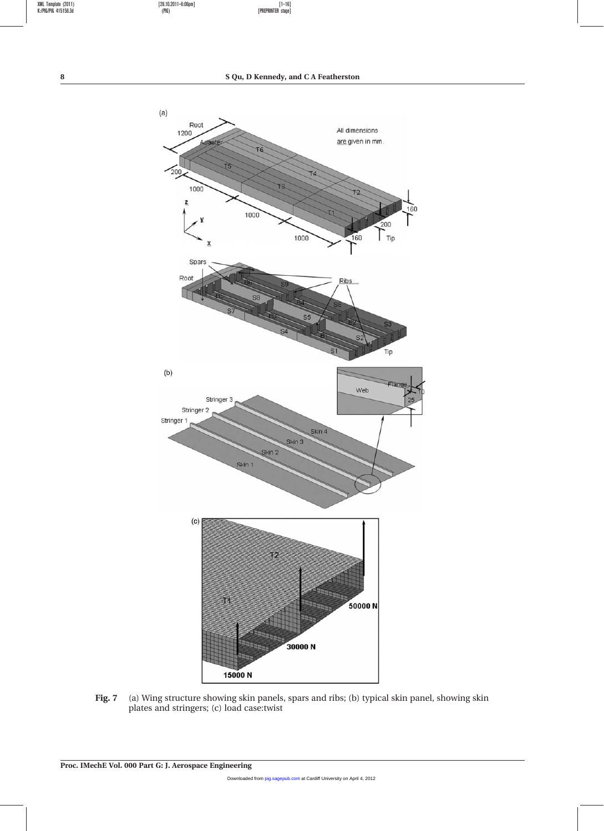

Fig. 7 (a) Wing structure showing skin panels, spars and ribs; (b) typical skin panel, showing skin plates and stringers; (c) load case:twist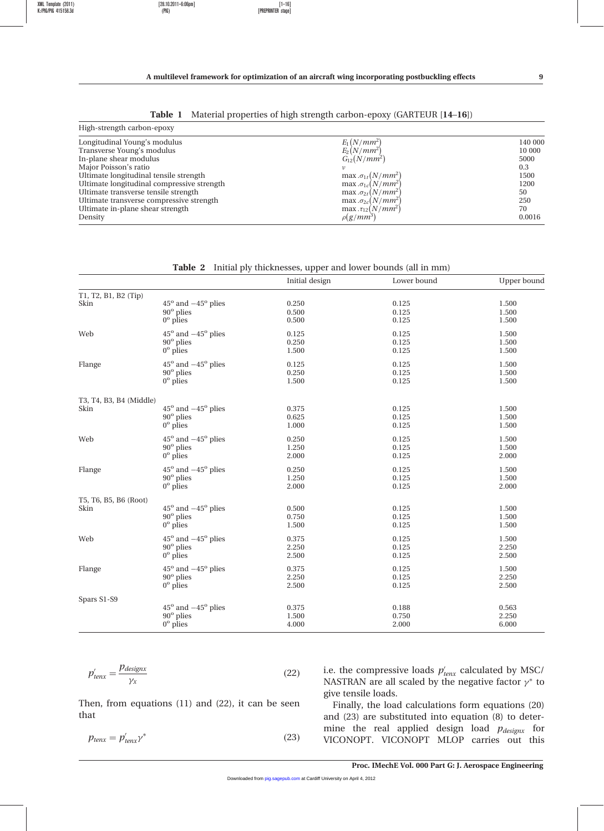Table 1 Material properties of high strength carbon-epoxy (GARTEUR [14–16])

| High-strength carbon-epoxy                 |                               |         |
|--------------------------------------------|-------------------------------|---------|
| Longitudinal Young's modulus               | $E_1(N/mm^2)$                 | 140 000 |
| Transverse Young's modulus                 | $E_2(N/mm^2)$                 | 10 000  |
| In-plane shear modulus                     | $G_{12}(N/mm^2)$              | 5000    |
| Major Poisson's ratio                      | ν                             | 0.3     |
| Ultimate longitudinal tensile strength     | $\max \sigma_{1t}(N/mm^2)$    | 1500    |
| Ultimate longitudinal compressive strength | $\max \sigma_{1c}(N/mm^2)$    | 1200    |
| Ultimate transverse tensile strength       | $\max_{\sigma_{2t}} (N/mm^2)$ | 50      |
| Ultimate transverse compressive strength   | max. $\sigma_{2c}(N/mm^2)$    | 250     |
| Ultimate in-plane shear strength           | $\max .\tau_{12}(N/mm^2)$     | 70      |
| Density                                    | $\rho(g/mm^3)$                | 0.0016  |

Table 2 Initial ply thicknesses, upper and lower bounds (all in mm)

|                         |                                      | Initial design | Lower bound | Upper bound |
|-------------------------|--------------------------------------|----------------|-------------|-------------|
| T1, T2, B1, B2 (Tip)    |                                      |                |             |             |
| Skin                    | $45^{\circ}$ and $-45^{\circ}$ plies | 0.250          | 0.125       | 1.500       |
|                         | $90^{\circ}$ plies                   | 0.500          | 0.125       | 1.500       |
|                         | $0^{\circ}$ plies                    | 0.500          | 0.125       | 1.500       |
| Web                     | $45^{\circ}$ and $-45^{\circ}$ plies | 0.125          | 0.125       | 1.500       |
|                         | $90^{\circ}$ plies                   | 0.250          | 0.125       | 1.500       |
|                         | $0^{\circ}$ plies                    | 1.500          | 0.125       | 1.500       |
| Flange                  | $45^{\circ}$ and $-45^{\circ}$ plies | 0.125          | 0.125       | 1.500       |
|                         | $90^{\circ}$ plies                   | 0.250          | 0.125       | 1.500       |
|                         | $0^{\circ}$ plies                    | 1.500          | 0.125       | 1.500       |
| T3, T4, B3, B4 (Middle) |                                      |                |             |             |
| Skin                    | $45^{\circ}$ and $-45^{\circ}$ plies | 0.375          | 0.125       | 1.500       |
|                         | $90^{\circ}$ plies                   | 0.625          | 0.125       | 1.500       |
|                         | $0^{\circ}$ plies                    | 1.000          | 0.125       | 1.500       |
| Web                     | $45^{\circ}$ and $-45^{\circ}$ plies | 0.250          | 0.125       | 1.500       |
|                         | $90^{\circ}$ plies                   | 1.250          | 0.125       | 1.500       |
|                         | $0^{\circ}$ plies                    | 2.000          | 0.125       | 2.000       |
| Flange                  | $45^{\circ}$ and $-45^{\circ}$ plies | 0.250          | 0.125       | 1.500       |
|                         | $90^{\circ}$ plies                   | 1.250          | 0.125       | 1.500       |
|                         | $0^{\circ}$ plies                    | 2.000          | 0.125       | 2.000       |
| T5, T6, B5, B6 (Root)   |                                      |                |             |             |
| Skin                    | $45^{\circ}$ and $-45^{\circ}$ plies | 0.500          | 0.125       | 1.500       |
|                         | $90^{\circ}$ plies                   | 0.750          | 0.125       | 1.500       |
|                         | $0^{\circ}$ plies                    | 1.500          | 0.125       | 1.500       |
| Web                     | $45^{\circ}$ and $-45^{\circ}$ plies | 0.375          | 0.125       | 1.500       |
|                         | $90^{\circ}$ plies                   | 2.250          | 0.125       | 2.250       |
|                         | $0^{\circ}$ plies                    | 2.500          | 0.125       | 2.500       |
| Flange                  | $45^{\circ}$ and $-45^{\circ}$ plies | 0.375          | 0.125       | 1.500       |
|                         | 90° plies                            | 2.250          | 0.125       | 2.250       |
|                         | $0^{\circ}$ plies                    | 2.500          | 0.125       | 2.500       |
| Spars S1-S9             |                                      |                |             |             |
|                         | $45^{\circ}$ and $-45^{\circ}$ plies | 0.375          | 0.188       | 0.563       |
|                         | 90° plies                            | 1.500          | 0.750       | 2.250       |
|                         | $0^{\circ}$ plies                    | 4.000          | 2.000       | 6.000       |

$$
p'_{tenx} = \frac{p_{designx}}{\gamma_x} \tag{22}
$$

Then, from equations (11) and (22), it can be seen that

$$
p_{tenx} = p'_{tenx} \gamma^* \tag{23}
$$

i.e. the compressive loads  $p'_{tenx}$  calculated by MSC/ NASTRAN are all scaled by the negative factor  $\gamma^*$  to give tensile loads.

Finally, the load calculations form equations (20) and (23) are substituted into equation (8) to determine the real applied design load  $p_{designx}$  for VICONOPT. VICONOPT MLOP carries out this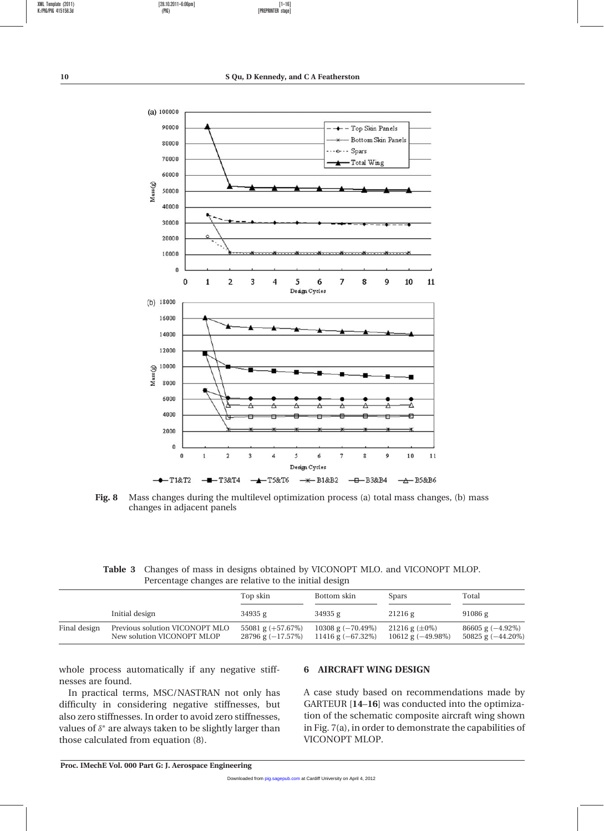

Fig. 8 Mass changes during the multilevel optimization process (a) total mass changes, (b) mass changes in adjacent panels

Table 3 Changes of mass in designs obtained by VICONOPT MLO. and VICONOPT MLOP. Percentage changes are relative to the initial design

|              |                                                              | Top skin                                            | Bottom skin                                                | <b>Spars</b>                                    | Total                                               |
|--------------|--------------------------------------------------------------|-----------------------------------------------------|------------------------------------------------------------|-------------------------------------------------|-----------------------------------------------------|
|              | Initial design                                               | $34935$ g                                           | 34935 g                                                    | 21216 g                                         | $91086$ g                                           |
| Final design | Previous solution VICONOPT MLO<br>New solution VICONOPT MLOP | 55081 g $(+57.67%)$<br>$28796 \text{ g} (-17.57\%)$ | $10308 \text{ g}$ (-70.49%)<br>$11416 \text{ g}$ (-67.32%) | 21216 g $(\pm 0\%)$<br>$10612$ g ( $-49.98\%$ ) | $86605 \text{ g} (-4.92\%)$<br>50825 g $(-44.20\%)$ |

whole process automatically if any negative stiffnesses are found.

In practical terms, MSC/NASTRAN not only has difficulty in considering negative stiffnesses, but also zero stiffnesses. In order to avoid zero stiffnesses, values of  $\delta^*$  are always taken to be slightly larger than those calculated from equation (8).

## 6 AIRCRAFT WING DESIGN

A case study based on recommendations made by GARTEUR [14–16] was conducted into the optimization of the schematic composite aircraft wing shown in Fig. 7(a), in order to demonstrate the capabilities of VICONOPT MLOP.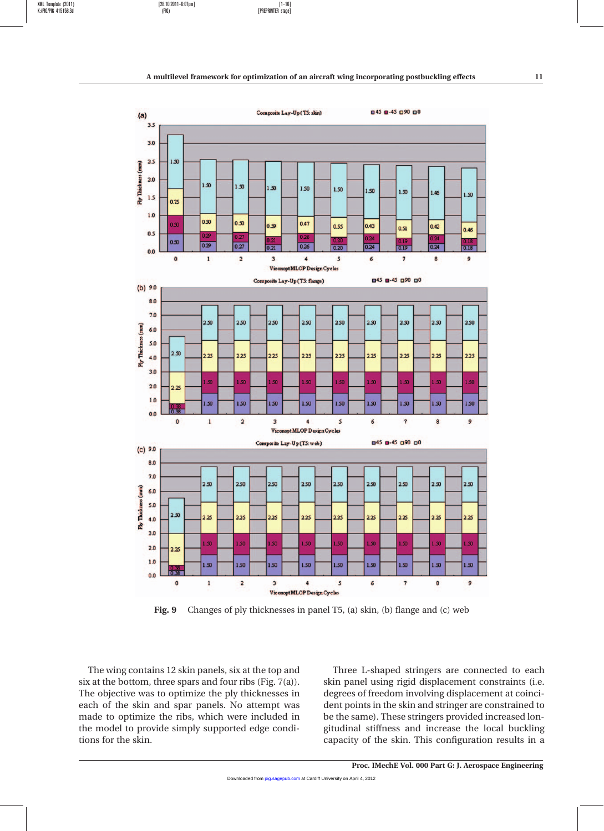

Fig. 9 Changes of ply thicknesses in panel T5, (a) skin, (b) flange and (c) web

The wing contains 12 skin panels, six at the top and six at the bottom, three spars and four ribs (Fig. 7(a)). The objective was to optimize the ply thicknesses in each of the skin and spar panels. No attempt was made to optimize the ribs, which were included in the model to provide simply supported edge conditions for the skin.

Three L-shaped stringers are connected to each skin panel using rigid displacement constraints (i.e. degrees of freedom involving displacement at coincident points in the skin and stringer are constrained to be the same). These stringers provided increased longitudinal stiffness and increase the local buckling capacity of the skin. This configuration results in a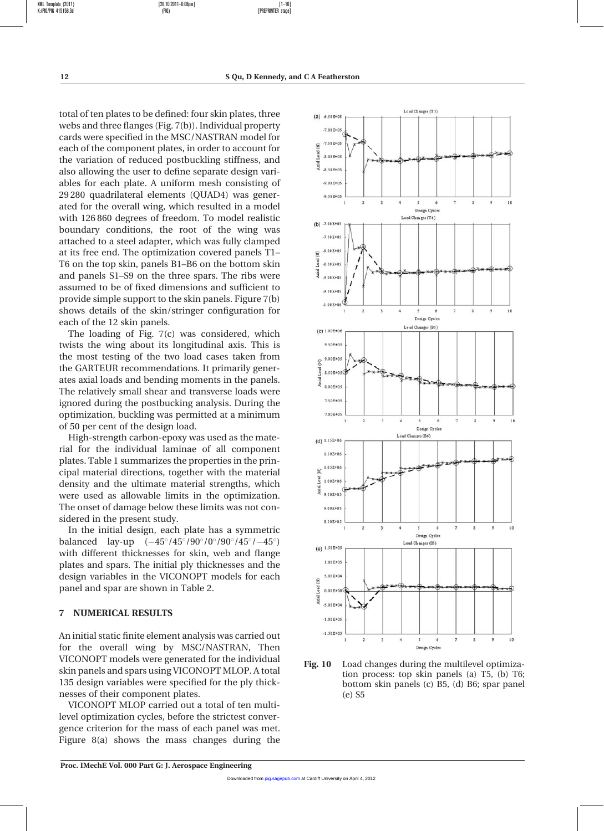total of ten plates to be defined: four skin plates, three webs and three flanges (Fig. 7(b)). Individual property cards were specified in the MSC/NASTRAN model for each of the component plates, in order to account for the variation of reduced postbuckling stiffness, and also allowing the user to define separate design variables for each plate. A uniform mesh consisting of 29 280 quadrilateral elements (QUAD4) was generated for the overall wing, which resulted in a model with 126 860 degrees of freedom. To model realistic boundary conditions, the root of the wing was attached to a steel adapter, which was fully clamped at its free end. The optimization covered panels T1– T6 on the top skin, panels B1–B6 on the bottom skin and panels S1–S9 on the three spars. The ribs were assumed to be of fixed dimensions and sufficient to provide simple support to the skin panels. Figure 7(b) shows details of the skin/stringer configuration for each of the 12 skin panels.

The loading of Fig. 7(c) was considered, which twists the wing about its longitudinal axis. This is the most testing of the two load cases taken from the GARTEUR recommendations. It primarily generates axial loads and bending moments in the panels. The relatively small shear and transverse loads were ignored during the postbucking analysis. During the optimization, buckling was permitted at a minimum of 50 per cent of the design load.

High-strength carbon-epoxy was used as the material for the individual laminae of all component plates. Table 1 summarizes the properties in the principal material directions, together with the material density and the ultimate material strengths, which were used as allowable limits in the optimization. The onset of damage below these limits was not considered in the present study.

In the initial design, each plate has a symmetric balanced lay-up  $(-45^\circ/45^\circ/90^\circ/0^\circ/90^\circ/45^\circ/-45^\circ)$ with different thicknesses for skin, web and flange plates and spars. The initial ply thicknesses and the design variables in the VICONOPT models for each panel and spar are shown in Table 2.

#### 7 NUMERICAL RESULTS

An initial static finite element analysis was carried out for the overall wing by MSC/NASTRAN, Then VICONOPT models were generated for the individual skin panels and spars using VICONOPT MLOP. A total 135 design variables were specified for the ply thicknesses of their component plates.

VICONOPT MLOP carried out a total of ten multilevel optimization cycles, before the strictest convergence criterion for the mass of each panel was met. Figure 8(a) shows the mass changes during the



Fig. 10 Load changes during the multilevel optimization process: top skin panels (a) T5, (b) T6; bottom skin panels (c) B5, (d) B6; spar panel (e) S5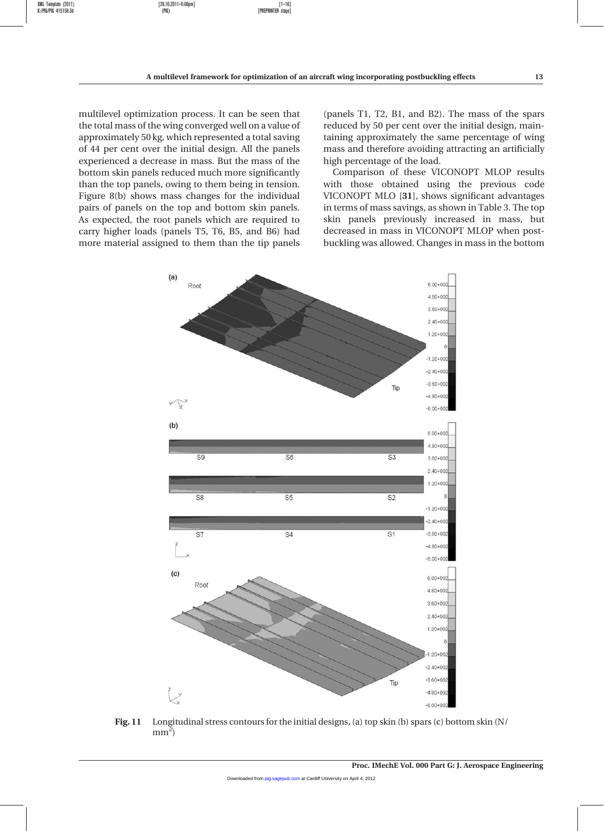multilevel optimization process. It can be seen that the total mass of the wing converged well on a value of approximately 50 kg, which represented a total saving of 44 per cent over the initial design. All the panels experienced a decrease in mass. But the mass of the bottom skin panels reduced much more significantly than the top panels, owing to them being in tension. Figure 8(b) shows mass changes for the individual pairs of panels on the top and bottom skin panels. As expected, the root panels which are required to carry higher loads (panels T5, T6, B5, and B6) had more material assigned to them than the tip panels

(panels T1, T2, B1, and B2). The mass of the spars reduced by 50 per cent over the initial design, maintaining approximately the same percentage of wing mass and therefore avoiding attracting an artificially high percentage of the load.

Comparison of these VICONOPT MLOP results with those obtained using the previous code VICONOPT MLO [31], shows significant advantages in terms of mass savings, as shown in Table 3. The top skin panels previously increased in mass, but decreased in mass in VICONOPT MLOP when postbuckling was allowed. Changes in mass in the bottom



Fig. 11 Longitudinal stress contours for the initial designs, (a) top skin (b) spars (c) bottom skin (N/  $mm<sup>2</sup>$ )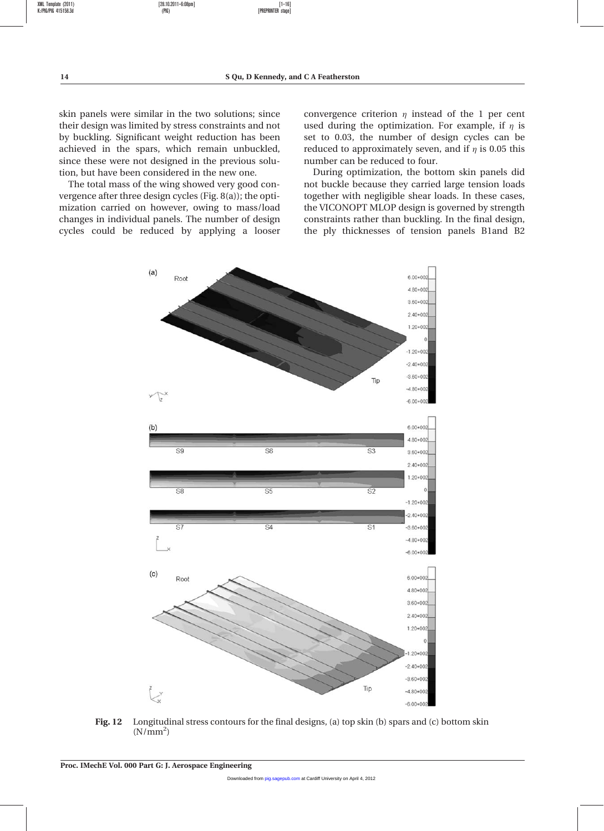skin panels were similar in the two solutions; since their design was limited by stress constraints and not by buckling. Significant weight reduction has been achieved in the spars, which remain unbuckled, since these were not designed in the previous solution, but have been considered in the new one.

The total mass of the wing showed very good convergence after three design cycles (Fig. 8(a)); the optimization carried on however, owing to mass/load changes in individual panels. The number of design cycles could be reduced by applying a looser

convergence criterion  $\eta$  instead of the 1 per cent used during the optimization. For example, if  $\eta$  is set to 0.03, the number of design cycles can be reduced to approximately seven, and if  $\eta$  is 0.05 this number can be reduced to four.

During optimization, the bottom skin panels did not buckle because they carried large tension loads together with negligible shear loads. In these cases, the VICONOPT MLOP design is governed by strength constraints rather than buckling. In the final design, the ply thicknesses of tension panels B1and B2



Fig. 12 Longitudinal stress contours for the final designs, (a) top skin (b) spars and (c) bottom skin  $(N/mm<sup>2</sup>)$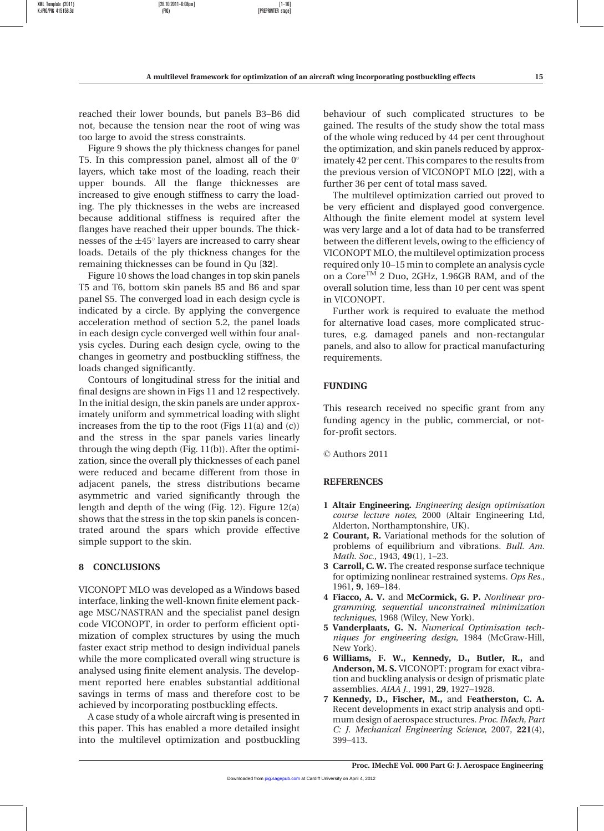reached their lower bounds, but panels B3–B6 did not, because the tension near the root of wing was too large to avoid the stress constraints.

Figure 9 shows the ply thickness changes for panel T5. In this compression panel, almost all of the  $0^\circ$ layers, which take most of the loading, reach their upper bounds. All the flange thicknesses are increased to give enough stiffness to carry the loading. The ply thicknesses in the webs are increased because additional stiffness is required after the flanges have reached their upper bounds. The thicknesses of the  $\pm 45^\circ$  layers are increased to carry shear loads. Details of the ply thickness changes for the remaining thicknesses can be found in Qu [32].

Figure 10 shows the load changes in top skin panels T5 and T6, bottom skin panels B5 and B6 and spar panel S5. The converged load in each design cycle is indicated by a circle. By applying the convergence acceleration method of section 5.2, the panel loads in each design cycle converged well within four analysis cycles. During each design cycle, owing to the changes in geometry and postbuckling stiffness, the loads changed significantly.

Contours of longitudinal stress for the initial and final designs are shown in Figs 11 and 12 respectively. In the initial design, the skin panels are under approximately uniform and symmetrical loading with slight increases from the tip to the root (Figs 11(a) and (c)) and the stress in the spar panels varies linearly through the wing depth  $(Fig. 11(b))$ . After the optimization, since the overall ply thicknesses of each panel were reduced and became different from those in adjacent panels, the stress distributions became asymmetric and varied significantly through the length and depth of the wing (Fig. 12). Figure 12(a) shows that the stress in the top skin panels is concentrated around the spars which provide effective simple support to the skin.

#### 8 CONCLUSIONS

VICONOPT MLO was developed as a Windows based interface, linking the well-known finite element package MSC/NASTRAN and the specialist panel design code VICONOPT, in order to perform efficient optimization of complex structures by using the much faster exact strip method to design individual panels while the more complicated overall wing structure is analysed using finite element analysis. The development reported here enables substantial additional savings in terms of mass and therefore cost to be achieved by incorporating postbuckling effects.

A case study of a whole aircraft wing is presented in this paper. This has enabled a more detailed insight into the multilevel optimization and postbuckling behaviour of such complicated structures to be gained. The results of the study show the total mass of the whole wing reduced by 44 per cent throughout the optimization, and skin panels reduced by approximately 42 per cent. This compares to the results from the previous version of VICONOPT MLO [22], with a further 36 per cent of total mass saved.

The multilevel optimization carried out proved to be very efficient and displayed good convergence. Although the finite element model at system level was very large and a lot of data had to be transferred between the different levels, owing to the efficiency of VICONOPT MLO, the multilevel optimization process required only 10–15 min to complete an analysis cycle on a Core<sup>TM</sup> 2 Duo, 2GHz, 1.96GB RAM, and of the overall solution time, less than 10 per cent was spent in VICONOPT.

Further work is required to evaluate the method for alternative load cases, more complicated structures, e.g. damaged panels and non-rectangular panels, and also to allow for practical manufacturing requirements.

#### FUNDING

This research received no specific grant from any funding agency in the public, commercial, or notfor-profit sectors.

© Authors 2011

#### REFERENCES

- 1 Altair Engineering. Engineering design optimisation course lecture notes, 2000 (Altair Engineering Ltd, Alderton, Northamptonshire, UK).
- 2 Courant, R. Variational methods for the solution of problems of equilibrium and vibrations. Bull. Am. Math. Soc., 1943, 49(1), 1–23.
- 3 Carroll, C. W. The created response surface technique for optimizing nonlinear restrained systems. Ops Res., 1961, 9, 169–184.
- 4 Fiacco, A. V. and McCormick, G. P. Nonlinear programming, sequential unconstrained minimization techniques, 1968 (Wiley, New York).
- 5 Vanderplaats, G. N. Numerical Optimisation techniques for engineering design, 1984 (McGraw-Hill, New York).
- 6 Williams, F. W., Kennedy, D., Butler, R., and Anderson, M. S. VICONOPT: program for exact vibration and buckling analysis or design of prismatic plate assemblies. AIAA J., 1991, 29, 1927–1928.
- 7 Kennedy, D., Fischer, M., and Featherston, C. A. Recent developments in exact strip analysis and optimum design of aerospace structures. Proc. IMech, Part C: J. Mechanical Engineering Science, 2007, 221(4), 399–413.